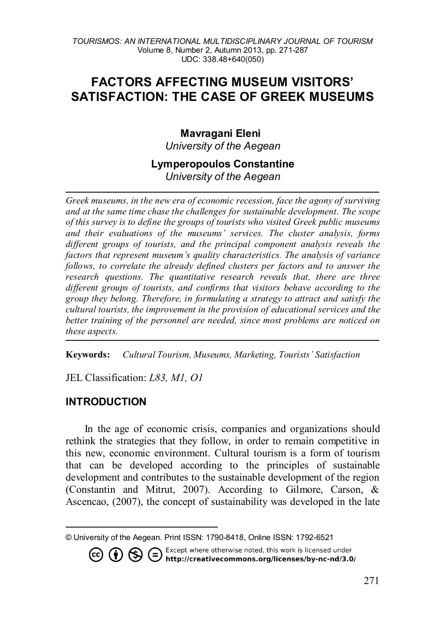# **FACTORS AFFECTING MUSEUM VISITORS' SATISFACTION: THE CASE OF GREEK MUSEUMS**

### **Mavragani Eleni[1](#page-0-0)** *University of the Aegean*

### **Lymperopoulos Constantine** *University of the Aegean*

*Greek museums, in the new era of economic recession, face the agony of surviving and at the same time chase the challenges for sustainable development. The scope of this survey is to define the groups of tourists who visited Greek public museums and their evaluations of the museums' services. The cluster analysis, forms different groups of tourists, and the principal component analysis reveals the factors that represent museum's quality characteristics. The analysis of variance follows, to correlate the already defined clusters per factors and to answer the research questions. The quantitative research reveals that, there are three different groups of tourists, and confirms that visitors behave according to the group they belong. Therefore, in formulating a strategy to attract and satisfy the cultural tourists, the improvement in the provision of educational services and the better training of the personnel are needed, since most problems are noticed on these aspects.* 

**Keywords:** *Cultural Tourism, Museums, Marketing, Tourists' Satisfaction*

JEL Classification: *L83, M1, O1*

## **INTRODUCTION**

In the age of economic crisis, companies and organizations should rethink the strategies that they follow, in order to remain competitive in this new, economic environment. Cultural tourism is a form of tourism that can be developed according to the principles of sustainable development and contributes to the sustainable development of the region (Constantin and Mitrut, 2007). According to Gilmore, Carson, & Ascencao, (2007), the concept of sustainability was developed in the late

<span id="page-0-0"></span>l © University of the Aegean. Print ISSN: 1790-8418, Online ISSN: 1792-6521



271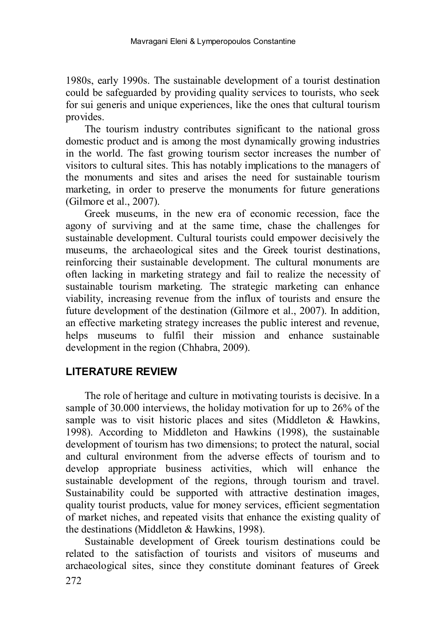1980s, early 1990s. The sustainable development of a tourist destination could be safeguarded by providing quality services to tourists, who seek for sui generis and unique experiences, like the ones that cultural tourism provides.

The tourism industry contributes significant to the national gross domestic product and is among the most dynamically growing industries in the world. The fast growing tourism sector increases the number of visitors to cultural sites. This has notably implications to the managers of the monuments and sites and arises the need for sustainable tourism marketing, in order to preserve the monuments for future generations (Gilmore et al., 2007).

Greek museums, in the new era of economic recession, face the agony of surviving and at the same time, chase the challenges for sustainable development. Cultural tourists could empower decisively the museums, the archaeological sites and the Greek tourist destinations, reinforcing their sustainable development. The cultural monuments are often lacking in marketing strategy and fail to realize the necessity of sustainable tourism marketing. The strategic marketing can enhance viability, increasing revenue from the influx of tourists and ensure the future development of the destination (Gilmore et al., 2007). In addition, an effective marketing strategy increases the public interest and revenue, helps museums to fulfil their mission and enhance sustainable development in the region (Chhabra, 2009).

### **LITERATURE REVIEW**

The role of heritage and culture in motivating tourists is decisive. In a sample of 30.000 interviews, the holiday motivation for up to 26% of the sample was to visit historic places and sites (Middleton  $\&$  Hawkins, 1998). According to Middleton and Hawkins (1998), the sustainable development of tourism has two dimensions; to protect the natural, social and cultural environment from the adverse effects of tourism and to develop appropriate business activities, which will enhance the sustainable development of the regions, through tourism and travel. Sustainability could be supported with attractive destination images, quality tourist products, value for money services, efficient segmentation of market niches, and repeated visits that enhance the existing quality of the destinations (Middleton & Hawkins, 1998).

Sustainable development of Greek tourism destinations could be related to the satisfaction of tourists and visitors of museums and archaeological sites, since they constitute dominant features of Greek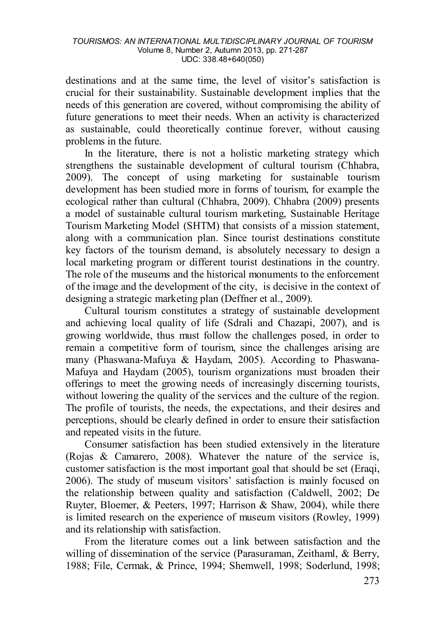destinations and at the same time, the level of visitor's satisfaction is crucial for their sustainability. Sustainable development implies that the needs of this generation are covered, without compromising the ability of future generations to meet their needs. When an activity is characterized as sustainable, could theoretically continue forever, without causing problems in the future.

In the literature, there is not a holistic marketing strategy which strengthens the sustainable development of cultural tourism (Chhabra, 2009). The concept of using marketing for sustainable tourism development has been studied more in forms of tourism, for example the ecological rather than cultural (Chhabra, 2009). Chhabra (2009) presents a model of sustainable cultural tourism marketing, Sustainable Heritage Tourism Marketing Model (SHTM) that consists of a mission statement, along with a communication plan. Since tourist destinations constitute key factors of the tourism demand, is absolutely necessary to design a local marketing program or different tourist destinations in the country. The role of the museums and the historical monuments to the enforcement of the image and the development of the city, is decisive in the context of designing a strategic marketing plan (Deffner et al., 2009).

Cultural tourism constitutes a strategy of sustainable development and achieving local quality of life (Sdrali and Chazapi, 2007), and is growing worldwide, thus must follow the challenges posed, in order to remain a competitive form of tourism, since the challenges arising are many (Phaswana-Mafuya & Haydam, 2005). According to Phaswana-Mafuya and Haydam (2005), tourism organizations must broaden their offerings to meet the growing needs of increasingly discerning tourists, without lowering the quality of the services and the culture of the region. The profile of tourists, the needs, the expectations, and their desires and perceptions, should be clearly defined in order to ensure their satisfaction and repeated visits in the future.

Consumer satisfaction has been studied extensively in the literature (Rojas & Camarero, 2008). Whatever the nature of the service is, customer satisfaction is the most important goal that should be set (Eraqi, 2006). The study of museum visitors' satisfaction is mainly focused on the relationship between quality and satisfaction (Caldwell, 2002; De Ruyter, Bloemer, & Peeters, 1997; Harrison & Shaw, 2004), while there is limited research on the experience of museum visitors (Rowley, 1999) and its relationship with satisfaction.

From the literature comes out a link between satisfaction and the willing of dissemination of the service (Parasuraman, Zeithaml, & Berry, 1988; File, Cermak, & Prince, 1994; Shemwell, 1998; Soderlund, 1998;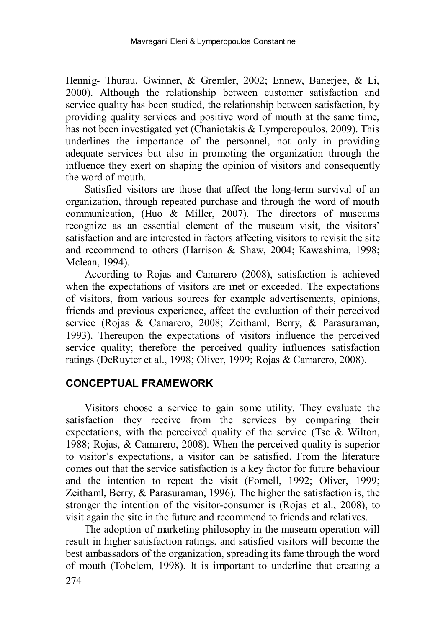Hennig- Thurau, Gwinner, & Gremler, 2002; Ennew, Banerjee, & Li, 2000). Although the relationship between customer satisfaction and service quality has been studied, the relationship between satisfaction, by providing quality services and positive word of mouth at the same time, has not been investigated yet (Chaniotakis & Lymperopoulos, 2009). This underlines the importance of the personnel, not only in providing adequate services but also in promoting the organization through the influence they exert on shaping the opinion of visitors and consequently the word of mouth.

Satisfied visitors are those that affect the long-term survival of an organization, through repeated purchase and through the word of mouth communication, (Huo & Miller, 2007). The directors of museums recognize as an essential element of the museum visit, the visitors' satisfaction and are interested in factors affecting visitors to revisit the site and recommend to others (Harrison & Shaw, 2004; Kawashima, 1998; Mclean, 1994).

According to Rojas and Camarero (2008), satisfaction is achieved when the expectations of visitors are met or exceeded. The expectations of visitors, from various sources for example advertisements, opinions, friends and previous experience, affect the evaluation of their perceived service (Rojas & Camarero, 2008; Zeithaml, Berry, & Parasuraman, 1993). Thereupon the expectations of visitors influence the perceived service quality; therefore the perceived quality influences satisfaction ratings (DeRuyter et al., 1998; Oliver, 1999; Rojas & Camarero, 2008).

### **CONCEPTUAL FRAMEWORK**

Visitors choose a service to gain some utility. They evaluate the satisfaction they receive from the services by comparing their expectations, with the perceived quality of the service (Tse  $\&$  Wilton, 1988; Rojas, & Camarero, 2008). When the perceived quality is superior to visitor's expectations, a visitor can be satisfied. From the literature comes out that the service satisfaction is a key factor for future behaviour and the intention to repeat the visit (Fornell, 1992; Oliver, 1999; Zeithaml, Berry, & Parasuraman, 1996). The higher the satisfaction is, the stronger the intention of the visitor-consumer is (Rojas et al., 2008), to visit again the site in the future and recommend to friends and relatives.

The adoption of marketing philosophy in the museum operation will result in higher satisfaction ratings, and satisfied visitors will become the best ambassadors of the organization, spreading its fame through the word of mouth (Tobelem, 1998). It is important to underline that creating a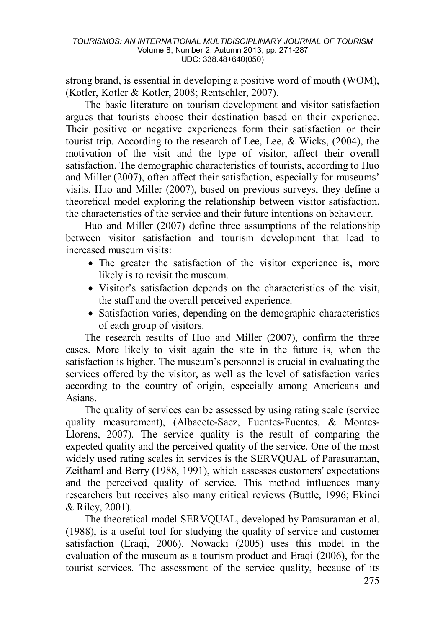strong brand, is essential in developing a positive word of mouth (WOM), (Kotler, Kotler & Kotler, 2008; Rentschler, 2007).

The basic literature on tourism development and visitor satisfaction argues that tourists choose their destination based on their experience. Their positive or negative experiences form their satisfaction or their tourist trip. According to the research of Lee, Lee, & Wicks,  $(2004)$ , the motivation of the visit and the type of visitor, affect their overall satisfaction. The demographic characteristics of tourists, according to Huo and Miller (2007), often affect their satisfaction, especially for museums' visits. Huo and Miller (2007), based on previous surveys, they define a theoretical model exploring the relationship between visitor satisfaction, the characteristics of the service and their future intentions on behaviour.

Huo and Miller (2007) define three assumptions of the relationship between visitor satisfaction and tourism development that lead to increased museum visits:

- The greater the satisfaction of the visitor experience is, more likely is to revisit the museum.
- Visitor's satisfaction depends on the characteristics of the visit, the staff and the overall perceived experience.
- Satisfaction varies, depending on the demographic characteristics of each group of visitors.

The research results of Huo and Miller (2007), confirm the three cases. More likely to visit again the site in the future is, when the satisfaction is higher. The museum's personnel is crucial in evaluating the services offered by the visitor, as well as the level of satisfaction varies according to the country of origin, especially among Americans and Asians.

The quality of services can be assessed by using rating scale (service quality measurement), (Albacete-Saez, Fuentes-Fuentes, & Montes-Llorens, 2007). The service quality is the result of comparing the expected quality and the perceived quality of the service. One of the most widely used rating scales in services is the SERVQUAL of Parasuraman, Zeithaml and Berry (1988, 1991), which assesses customers' expectations and the perceived quality of service. This method influences many researchers but receives also many critical reviews (Buttle, 1996; Ekinci & Riley, 2001).

The theoretical model SERVQUAL, developed by Parasuraman et al. (1988), is a useful tool for studying the quality of service and customer satisfaction (Eraqi, 2006). Nowacki (2005) uses this model in the evaluation of the museum as a tourism product and Eraqi (2006), for the tourist services. The assessment of the service quality, because of its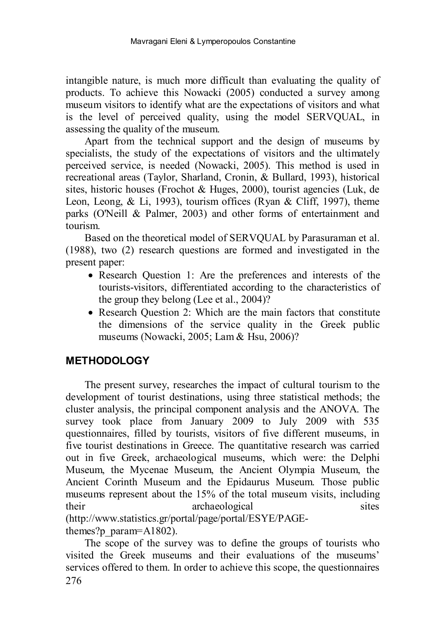intangible nature, is much more difficult than evaluating the quality of products. To achieve this Nowacki (2005) conducted a survey among museum visitors to identify what are the expectations of visitors and what is the level of perceived quality, using the model SERVQUAL, in assessing the quality of the museum.

Apart from the technical support and the design of museums by specialists, the study of the expectations of visitors and the ultimately perceived service, is needed (Nowacki, 2005). This method is used in recreational areas (Taylor, Sharland, Cronin, & Bullard, 1993), historical sites, historic houses (Frochot & Huges, 2000), tourist agencies (Luk, de Leon, Leong, & Li, 1993), tourism offices (Ryan & Cliff, 1997), theme parks (O'Neill & Palmer, 2003) and other forms of entertainment and tourism.

Based on the theoretical model of SERVQUAL by Parasuraman et al. (1988), two (2) research questions are formed and investigated in the present paper:

- Research Question 1: Are the preferences and interests of the tourists-visitors, differentiated according to the characteristics of the group they belong (Lee et al., 2004)?
- Research Ouestion 2: Which are the main factors that constitute the dimensions of the service quality in the Greek public museums (Nowacki, 2005; Lam & Hsu, 2006)?

## **METHODOLOGY**

The present survey, researches the impact of cultural tourism to the development of tourist destinations, using three statistical methods; the cluster analysis, the principal component analysis and the ANOVA. The survey took place from January 2009 to July 2009 with 535 questionnaires, filled by tourists, visitors of five different museums, in five tourist destinations in Greece. The quantitative research was carried out in five Greek, archaeological museums, which were: the Delphi Museum, the Mycenae Museum, the Ancient Olympia Museum, the Ancient Corinth Museum and the Epidaurus Museum. Those public museums represent about the 15% of the total museum visits, including their archaeological sites sites (http://www.statistics.gr/portal/page/portal/ESYE/PAGEthemes?p\_param=A1802).

276 The scope of the survey was to define the groups of tourists who visited the Greek museums and their evaluations of the museums' services offered to them. In order to achieve this scope, the questionnaires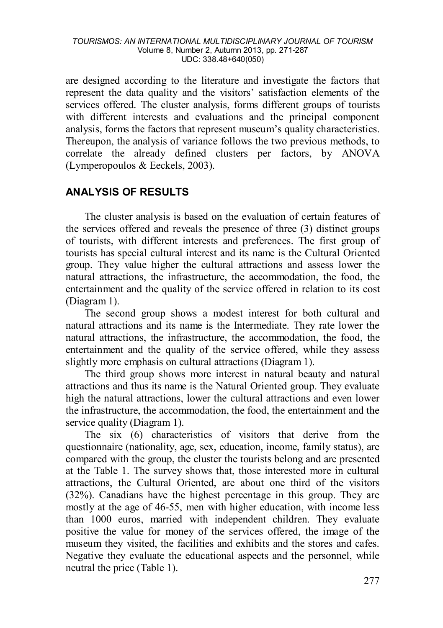are designed according to the literature and investigate the factors that represent the data quality and the visitors' satisfaction elements of the services offered. The cluster analysis, forms different groups of tourists with different interests and evaluations and the principal component analysis, forms the factors that represent museum's quality characteristics. Thereupon, the analysis of variance follows the two previous methods, to correlate the already defined clusters per factors, by ANOVA (Lymperopoulos & Eeckels, 2003).

## **ANALYSIS OF RESULTS**

The cluster analysis is based on the evaluation of certain features of the services offered and reveals the presence of three (3) distinct groups of tourists, with different interests and preferences. The first group of tourists has special cultural interest and its name is the Cultural Oriented group. They value higher the cultural attractions and assess lower the natural attractions, the infrastructure, the accommodation, the food, the entertainment and the quality of the service offered in relation to its cost (Diagram 1).

The second group shows a modest interest for both cultural and natural attractions and its name is the Intermediate. They rate lower the natural attractions, the infrastructure, the accommodation, the food, the entertainment and the quality of the service offered, while they assess slightly more emphasis on cultural attractions (Diagram 1).

The third group shows more interest in natural beauty and natural attractions and thus its name is the Natural Oriented group. They evaluate high the natural attractions, lower the cultural attractions and even lower the infrastructure, the accommodation, the food, the entertainment and the service quality (Diagram 1).

The six (6) characteristics of visitors that derive from the questionnaire (nationality, age, sex, education, income, family status), are compared with the group, the cluster the tourists belong and are presented at the Table 1. The survey shows that, those interested more in cultural attractions, the Cultural Oriented, are about one third of the visitors (32%). Canadians have the highest percentage in this group. They are mostly at the age of 46-55, men with higher education, with income less than 1000 euros, married with independent children. They evaluate positive the value for money of the services offered, the image of the museum they visited, the facilities and exhibits and the stores and cafes. Negative they evaluate the educational aspects and the personnel, while neutral the price (Table 1).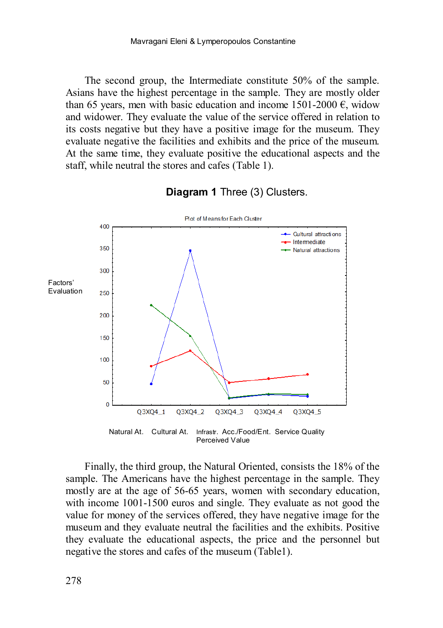The second group, the Intermediate constitute 50% of the sample. Asians have the highest percentage in the sample. They are mostly older than 65 years, men with basic education and income 1501-2000  $\epsilon$ , widow and widower. They evaluate the value of the service offered in relation to its costs negative but they have a positive image for the museum. They evaluate negative the facilities and exhibits and the price of the museum. At the same time, they evaluate positive the educational aspects and the staff, while neutral the stores and cafes (Table 1).



#### **Diagram 1** Three (3) Clusters.

Natural At. Cultural At. Infrastr. Acc./Food/Ent. Service Quality Perceived Value

Finally, the third group, the Natural Oriented, consists the 18% of the sample. The Americans have the highest percentage in the sample. They mostly are at the age of 56-65 years, women with secondary education, with income 1001-1500 euros and single. They evaluate as not good the value for money of the services offered, they have negative image for the museum and they evaluate neutral the facilities and the exhibits. Positive they evaluate the educational aspects, the price and the personnel but negative the stores and cafes of the museum (Table1).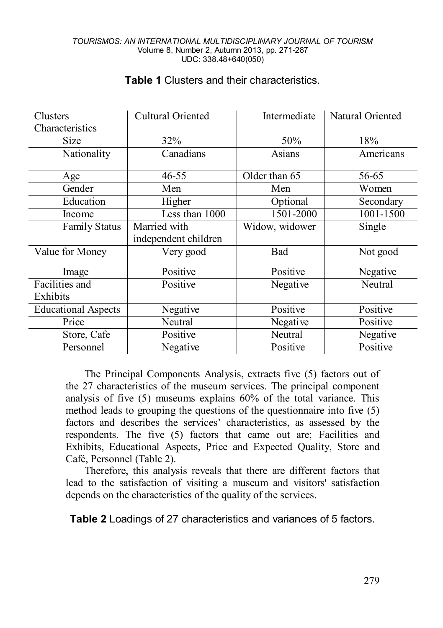| Clusters                   | Cultural Oriented      | Intermediate   | Natural Oriented |  |
|----------------------------|------------------------|----------------|------------------|--|
| Characteristics            |                        |                |                  |  |
| Size                       | 32%                    | 50%            | 18%              |  |
| Nationality                | Canadians              | Asians         | Americans        |  |
| Age                        | Older than 65<br>46-55 |                | 56-65            |  |
| Gender                     | Men                    | Men            | Women            |  |
| Education                  | Higher                 | Optional       | Secondary        |  |
| Income                     | Less than 1000         | 1501-2000      | 1001-1500        |  |
| <b>Family Status</b>       | Married with           | Widow, widower | Single           |  |
|                            | independent children   |                |                  |  |
| Value for Money            | Very good              | Bad            | Not good         |  |
| Image                      | Positive               | Positive       | Negative         |  |
| Facilities and             | Positive               | Negative       | Neutral          |  |
| Exhibits                   |                        |                |                  |  |
| <b>Educational Aspects</b> | Negative               | Positive       | Positive         |  |
| Price                      | Neutral                | Negative       | Positive         |  |
| Store, Cafe                | Positive               | Neutral        | Negative         |  |
| Personnel                  | Negative               | Positive       | Positive         |  |

## **Table 1** Clusters and their characteristics.

The Principal Components Analysis, extracts five (5) factors out of the 27 characteristics of the museum services. The principal component analysis of five (5) museums explains 60% of the total variance. This method leads to grouping the questions of the questionnaire into five (5) factors and describes the services' characteristics, as assessed by the respondents. The five (5) factors that came out are; Facilities and Exhibits, Educational Aspects, Price and Expected Quality, Store and Café, Personnel (Table 2).

Therefore, this analysis reveals that there are different factors that lead to the satisfaction of visiting a museum and visitors' satisfaction depends on the characteristics of the quality of the services.

**Table 2** Loadings of 27 characteristics and variances of 5 factors.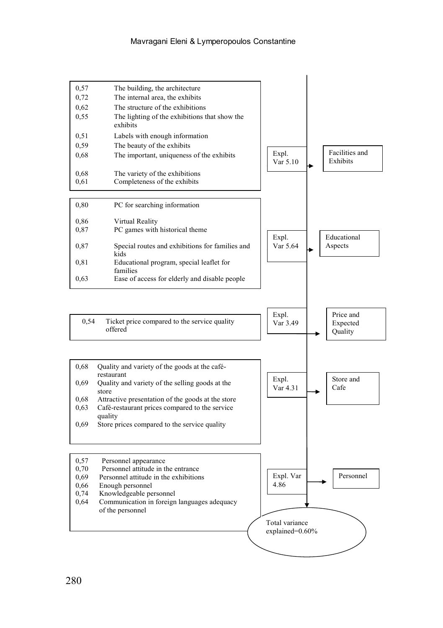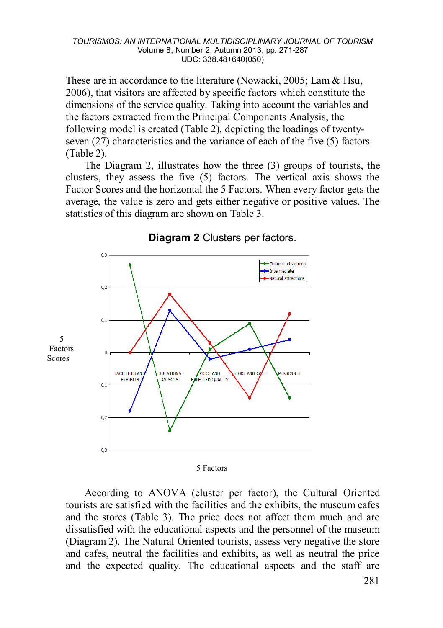These are in accordance to the literature (Nowacki, 2005; Lam & Hsu, 2006), that visitors are affected by specific factors which constitute the dimensions of the service quality. Taking into account the variables and the factors extracted from the Principal Components Analysis, the following model is created (Table 2), depicting the loadings of twentyseven (27) characteristics and the variance of each of the five (5) factors (Table 2).

The Diagram 2, illustrates how the three (3) groups of tourists, the clusters, they assess the five (5) factors. The vertical axis shows the Factor Scores and the horizontal the 5 Factors. When every factor gets the average, the value is zero and gets either negative or positive values. The statistics of this diagram are shown on Table 3.



#### **Diagram 2** Clusters per factors.

5 Factors

According to ANOVA (cluster per factor), the Cultural Oriented tourists are satisfied with the facilities and the exhibits, the museum cafes and the stores (Table 3). The price does not affect them much and are dissatisfied with the educational aspects and the personnel of the museum (Diagram 2). The Natural Oriented tourists, assess very negative the store and cafes, neutral the facilities and exhibits, as well as neutral the price and the expected quality. The educational aspects and the staff are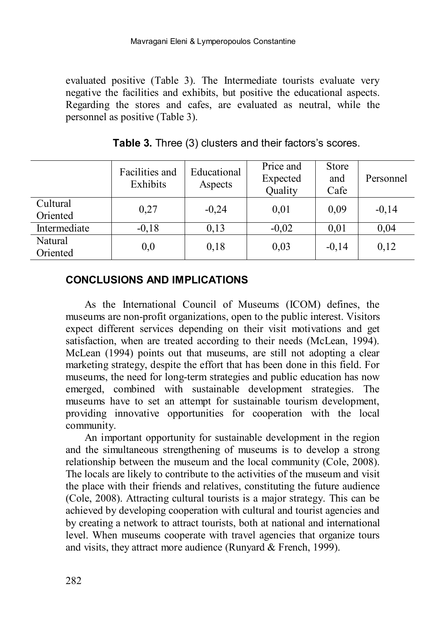evaluated positive (Table 3). The Intermediate tourists evaluate very negative the facilities and exhibits, but positive the educational aspects. Regarding the stores and cafes, are evaluated as neutral, while the personnel as positive (Table 3).

|                      | Facilities and<br>Exhibits | Educational<br>Aspects | Price and<br>Expected<br>Quality | <b>Store</b><br>and<br>Cafe | Personnel |
|----------------------|----------------------------|------------------------|----------------------------------|-----------------------------|-----------|
| Cultural<br>Oriented | 0,27                       | $-0,24$                | 0.01                             | 0,09                        | $-0.14$   |
| Intermediate         | $-0,18$                    | 0,13                   | $-0,02$                          | 0,01                        | 0,04      |
| Natural<br>Oriented  | 0,0                        | 0,18                   | 0.03                             | $-0.14$                     | 0.12      |

**Table 3.** Three (3) clusters and their factors's scores.

### **CONCLUSIONS AND IMPLICATIONS**

As the International Council of Museums (ICOM) defines, the museums are non-profit organizations, open to the public interest. Visitors expect different services depending on their visit motivations and get satisfaction, when are treated according to their needs (McLean, 1994). McLean (1994) points out that museums, are still not adopting a clear marketing strategy, despite the effort that has been done in this field. For museums, the need for long-term strategies and public education has now emerged, combined with sustainable development strategies. The museums have to set an attempt for sustainable tourism development, providing innovative opportunities for cooperation with the local community.

An important opportunity for sustainable development in the region and the simultaneous strengthening of museums is to develop a strong relationship between the museum and the local community (Cole, 2008). The locals are likely to contribute to the activities of the museum and visit the place with their friends and relatives, constituting the future audience (Cole, 2008). Attracting cultural tourists is a major strategy. This can be achieved by developing cooperation with cultural and tourist agencies and by creating a network to attract tourists, both at national and international level. When museums cooperate with travel agencies that organize tours and visits, they attract more audience (Runyard & French, 1999).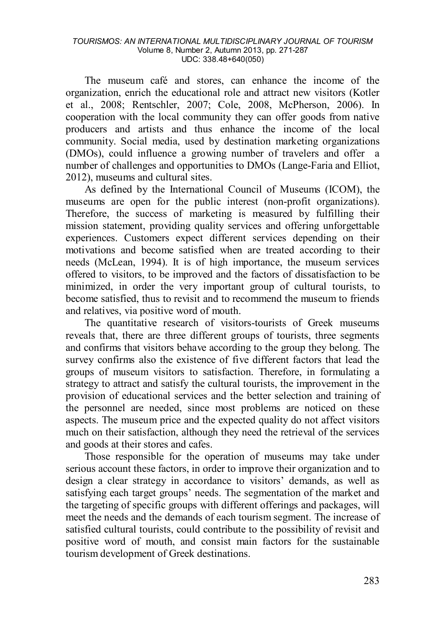The museum café and stores, can enhance the income of the organization, enrich the educational role and attract new visitors (Kotler et al., 2008; Rentschler, 2007; Cole, 2008, McPherson, 2006). In cooperation with the local community they can offer goods from native producers and artists and thus enhance the income of the local community. Social media, used by destination marketing organizations (DMOs), could influence a growing number of travelers and offer a number of challenges and opportunities to DMOs (Lange-Faria and Elliot, 2012), museums and cultural sites.

As defined by the International Council of Museums (ICOM), the museums are open for the public interest (non-profit organizations). Therefore, the success of marketing is measured by fulfilling their mission statement, providing quality services and offering unforgettable experiences. Customers expect different services depending on their motivations and become satisfied when are treated according to their needs (McLean, 1994). It is of high importance, the museum services offered to visitors, to be improved and the factors of dissatisfaction to be minimized, in order the very important group of cultural tourists, to become satisfied, thus to revisit and to recommend the museum to friends and relatives, via positive word of mouth.

The quantitative research of visitors-tourists of Greek museums reveals that, there are three different groups of tourists, three segments and confirms that visitors behave according to the group they belong. The survey confirms also the existence of five different factors that lead the groups of museum visitors to satisfaction. Therefore, in formulating a strategy to attract and satisfy the cultural tourists, the improvement in the provision of educational services and the better selection and training of the personnel are needed, since most problems are noticed on these aspects. The museum price and the expected quality do not affect visitors much on their satisfaction, although they need the retrieval of the services and goods at their stores and cafes.

Those responsible for the operation of museums may take under serious account these factors, in order to improve their organization and to design a clear strategy in accordance to visitors' demands, as well as satisfying each target groups' needs. The segmentation of the market and the targeting of specific groups with different offerings and packages, will meet the needs and the demands of each tourism segment. The increase of satisfied cultural tourists, could contribute to the possibility of revisit and positive word of mouth, and consist main factors for the sustainable tourism development of Greek destinations.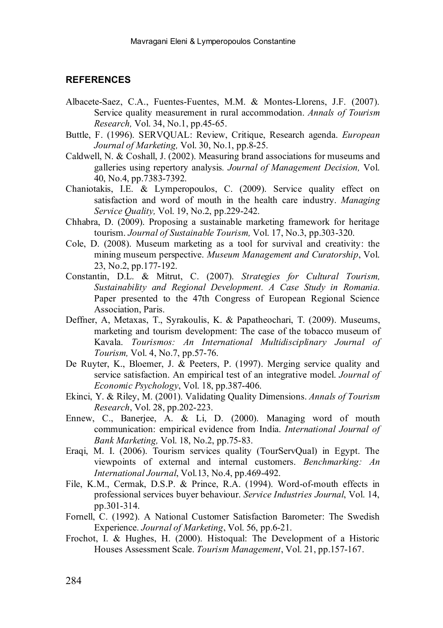#### **REFERENCES**

- Albacete-Saez, C.A., Fuentes-Fuentes, M.M. & Montes-Llorens, J.F. (2007). Service quality measurement in rural accommodation. *Annals of Tourism Research,* Vol. 34, No.1, pp.45-65.
- Buttle, F. (1996). SERVQUAL: Review, Critique, Research agenda. *European Journal of Marketing,* Vol. 30, No.1, pp.8-25.
- Caldwell, N. & Coshall, J. (2002). Measuring brand associations for museums and galleries using repertory analysis*. Journal of Management Decision,* Vol. 40, No.4, pp.7383-7392.
- Chaniotakis, I.E. & Lymperopoulos, C. (2009). Service quality effect on satisfaction and word of mouth in the health care industry. *Managing Service Quality,* Vol. 19, No.2, pp.229-242.
- Chhabra, D. (2009). Proposing a sustainable marketing framework for heritage tourism. *Journal of Sustainable Tourism,* Vol. 17, No.3, pp.303-320.
- Cole, D. (2008). Museum marketing as a tool for survival and creativity: the mining museum perspective. *Museum Management and Curatorship*, Vol. 23, No.2, pp.177-192.
- Constantin, D.L. & Mitrut, C. (2007). *Strategies for Cultural Tourism, Sustainability and Regional Development. A Case Study in Romania.*  Paper presented to the 47th Congress of European Regional Science Association, Paris.
- Deffner, A, Metaxas, T., Syrakoulis, K. & Papatheochari, T. (2009). Museums, marketing and tourism development: The case of the tobacco museum of Kavala. *Tourismos: An International Multidisciplinary Journal of Tourism,* Vol. 4, No.7, pp.57-76.
- De Ruyter, K., Bloemer, J.  $\&$  Peeters, P. (1997). Merging service quality and service satisfaction. An empirical test of an integrative model. *Journal of Economic Psychology*, Vol. 18, pp.387-406.
- Ekinci, Y. & Riley, M. (2001). Validating Quality Dimensions. *Annals of Tourism Research*, Vol. 28, pp.202-223.
- Ennew, C., Banerjee, A. & Li, D. (2000). Managing word of mouth communication: empirical evidence from India. *International Journal of Bank Marketing,* Vol. 18, No.2, pp.75-83.
- Eraqi, M. I. (2006). Tourism services quality (TourServQual) in Egypt. The viewpoints of external and internal customers. *Benchmarking: An International Journal*, Vol.13, No.4, pp.469-492.
- File, K.M., Cermak, D.S.P. & Prince, R.A. (1994). Word-of-mouth effects in professional services buyer behaviour. *Service Industries Journal*, Vol. 14, pp.301-314.
- Fornell, C. (1992). A National Customer Satisfaction Barometer: The Swedish Experience. *Journal of Marketing*, Vol. 56, pp.6-21.
- Frochot, I. & Hughes, H. (2000). Histoqual: The Development of a Historic Houses Assessment Scale. *Tourism Management*, Vol. 21, pp.157-167.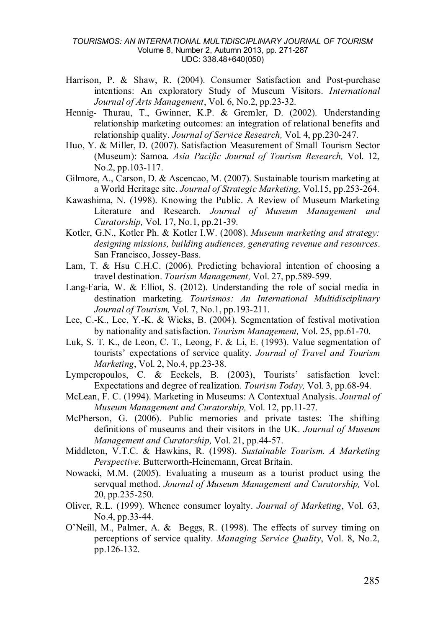- Harrison, P. & Shaw, R. (2004). Consumer Satisfaction and Post-purchase intentions: An exploratory Study of Museum Visitors. *International Journal of Arts Management*, Vol. 6, No.2, pp.23-32.
- Hennig- Thurau, T., Gwinner, K.P. & Gremler, D. (2002). Understanding relationship marketing outcomes: an integration of relational benefits and relationship quality. *Journal of Service Research,* Vol. 4, pp.230-247.
- Huo, Y. & Miller, D. (2007). Satisfaction Measurement of Small Tourism Sector (Museum): Samoa*. Asia Pacific Journal of Tourism Research,* Vol. 12, No.2, pp.103-117.
- Gilmore, A., Carson, D. & Ascencao, M. (2007). Sustainable tourism marketing at a World Heritage site. *Journal of Strategic Marketing,* Vol.15, pp.253-264.
- Kawashima, N. (1998). Knowing the Public. A Review of Museum Marketing Literature and Research*. Journal of Museum Management and Curatorship,* Vol. 17, No.1, pp.21-39.
- Kotler, G.N., Kotler Ph. & Kotler I.W. (2008). *Museum marketing and strategy: designing missions, building audiences, generating revenue and resources*. San Francisco, Jossey-Bass.
- Lam, T. & Hsu C.H.C. (2006). Predicting behavioral intention of choosing a travel destination. *Tourism Management,* Vol. 27, pp.589-599.
- Lang-Faria, W. & Elliot, S. (2012). Understanding the role of social media in destination marketing. *Tourismos: An International Multidisciplinary Journal of Tourism,* Vol. 7, No.1, pp.193-211.
- Lee, C.-K., Lee, Y.-K. & Wicks, B. (2004). Segmentation of festival motivation by nationality and satisfaction. *Tourism Management,* Vol. 25, pp.61-70.
- Luk, S. T. K., de Leon, C. T., Leong, F. & Li, E. (1993). Value segmentation of tourists' expectations of service quality. *Journal of Travel and Tourism Marketing*, Vol. 2, No.4, pp.23-38.
- Lymperopoulos, C. & Eeckels, B. (2003), Tourists' satisfaction level: Expectations and degree of realization. *Tourism Today,* Vol. 3, pp.68-94.
- McLean, F. C. (1994). Marketing in Museums: A Contextual Analysis. *Journal of Museum Management and Curatorship,* Vol. 12, pp.11-27.
- McPherson, G. (2006). Public memories and private tastes: The shifting definitions of museums and their visitors in the UK. *Journal of Museum Management and Curatorship,* Vol. 21, pp.44-57.
- Middleton, V.T.C. & Hawkins, R. (1998). *Sustainable Tourism. A Marketing Perspective.* Butterworth-Heinemann, Great Britain.
- Nowacki, M.M. (2005). Evaluating a museum as a tourist product using the servqual method. *Journal of Museum Management and Curatorship,* Vol. 20, pp.235-250.
- Oliver, R.L. (1999). Whence consumer loyalty. *Journal of Marketing*, Vol. 63, No.4, pp.33-44.
- O'Neill, M., Palmer, A. & Beggs, R. (1998). The effects of survey timing on perceptions of service quality. *Managing Service Quality*, Vol. 8, No.2, pp.126-132.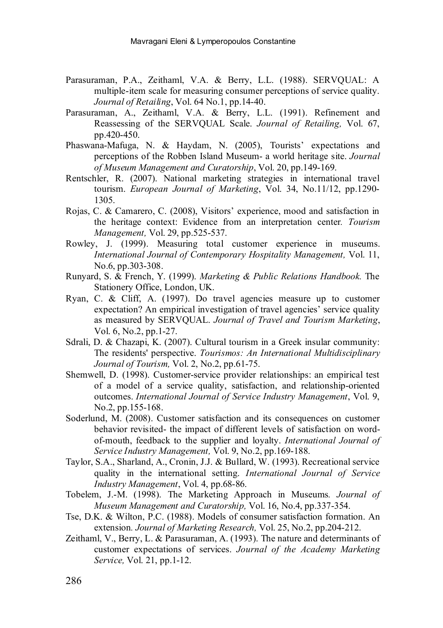- Parasuraman, P.A., Zeithaml, V.A. & Berry, L.L. (1988). SERVQUAL: A multiple-item scale for measuring consumer perceptions of service quality. *Journal of Retailing*, Vol. 64 No.1, pp.14-40.
- Parasuraman, A., Zeithaml, V.A. & Berry, L.L. (1991). Refinement and Reassessing of the SERVQUAL Scale. *Journal of Retailing,* Vol. 67, pp.420-450.
- Phaswana-Mafuga, N. & Haydam, N. (2005), Tourists' expectations and perceptions of the Robben Island Museum- a world heritage site. *Journal of Museum Management and Curatorship*, Vol. 20, pp.149-169.
- Rentschler, R. (2007). National marketing strategies in international travel tourism. *European Journal of Marketing*, Vol. 34, No.11/12, pp.1290- 1305.
- Rojas, C. & Camarero, C. (2008), Visitors' experience, mood and satisfaction in the heritage context: Evidence from an interpretation center*. Tourism Management,* Vol. 29, pp.525-537.
- Rowley, J. (1999). Measuring total customer experience in museums. *International Journal of Contemporary Hospitality Management,* Vol. 11, No.6, pp.303-308.
- Runyard, S. & French, Y. (1999). *Marketing & Public Relations Handbook.* The Stationery Office, London, UK.
- Ryan, C. & Cliff, A. (1997). Do travel agencies measure up to customer expectation? An empirical investigation of travel agencies' service quality as measured by SERVQUAL. *Journal of Travel and Tourism Marketing*, Vol. 6, No.2, pp.1-27.
- Sdrali, D. & Chazapi, K. (2007). Cultural tourism in a Greek insular community: The residents' perspective. *Tourismos: An International Multidisciplinary Journal of Tourism,* Vol. 2, No.2, pp.61-75.
- Shemwell, D. (1998). Customer-service provider relationships: an empirical test of a model of a service quality, satisfaction, and relationship-oriented outcomes. *International Journal of Service Industry Management*, Vol. 9, No.2, pp.155-168.
- Soderlund, M. (2008). Customer satisfaction and its consequences on customer behavior revisited- the impact of different levels of satisfaction on wordof-mouth, feedback to the supplier and loyalty. *International Journal of Service Industry Management,* Vol. 9, No.2, pp.169-188.
- Taylor, S.A., Sharland, A., Cronin, J.J. & Bullard, W. (1993). Recreational service quality in the international setting. *International Journal of Service Industry Management*, Vol. 4, pp.68-86.
- Tobelem, J.-M. (1998). The Marketing Approach in Museums*. Journal of Museum Management and Curatorship,* Vol. 16, No.4, pp.337-354.
- Tse, D.K. & Wilton, P.C. (1988). Models of consumer satisfaction formation. An extension*. Journal of Marketing Research,* Vol. 25, No.2, pp.204-212.
- Zeithaml, V., Berry, L. & Parasuraman, A. (1993). The nature and determinants of customer expectations of services. *Journal of the Academy Marketing Service,* Vol. 21, pp.1-12.